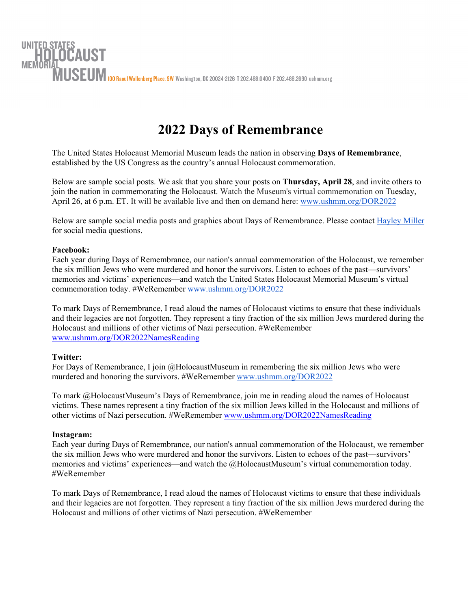

## **2022 Days of Remembrance**

The United States Holocaust Memorial Museum leads the nation in observing **Days of Remembrance**, established by the US Congress as the country's annual Holocaust commemoration.

Below are sample social posts. We ask that you share your posts on **Thursday, April 28**, and invite others to join the nation in commemorating the Holocaust. Watch the Museum's virtual commemoration on Tuesday, April 26, at 6 p.m. ET. It will be available live and then on demand here: [www.ushmm.org/DOR2022](http://www.ushmm.org/DOR2022)

Below are sample social media posts and graphics about Days of Remembrance. Please contact [Hayley Miller](mailto:hamiller@ushmm.org) for social media questions.

## **Facebook:**

Each year during Days of Remembrance, our nation's annual commemoration of the Holocaust, we remember the six million Jews who were murdered and honor the survivors. Listen to echoes of the past—survivors' memories and victims' experiences—and watch the United States Holocaust Memorial Museum's virtual commemoration today. #WeRemember [www.ushmm.org/DOR2022](http://www.ushmm.org/DOR2022)

To mark Days of Remembrance, I read aloud the names of Holocaust victims to ensure that these individuals and their legacies are not forgotten. They represent a tiny fraction of the six million Jews murdered during the Holocaust and millions of other victims of Nazi persecution. #WeRemember [www.ushmm.org/DOR2022NamesReading](http://www.ushmm.org/DOR2022NamesReading)

## **Twitter:**

For Days of Remembrance, I join @HolocaustMuseum in remembering the six million Jews who were murdered and honoring the survivors. #WeRemember [www.ushmm.org/DOR2022](http://www.ushmm.org/DOR2022)

To mark @HolocaustMuseum's Days of Remembrance, join me in reading aloud the names of Holocaust victims. These names represent a tiny fraction of the six million Jews killed in the Holocaust and millions of other victims of Nazi persecution. #WeRemember [www.ushmm.org/DOR2022NamesReading](http://www.ushmm.org/DOR2022NamesReading)

## **Instagram:**

Each year during Days of Remembrance, our nation's annual commemoration of the Holocaust, we remember the six million Jews who were murdered and honor the survivors. Listen to echoes of the past—survivors' memories and victims' experiences—and watch the @HolocaustMuseum's virtual commemoration today. #WeRemember

To mark Days of Remembrance, I read aloud the names of Holocaust victims to ensure that these individuals and their legacies are not forgotten. They represent a tiny fraction of the six million Jews murdered during the Holocaust and millions of other victims of Nazi persecution. #WeRemember